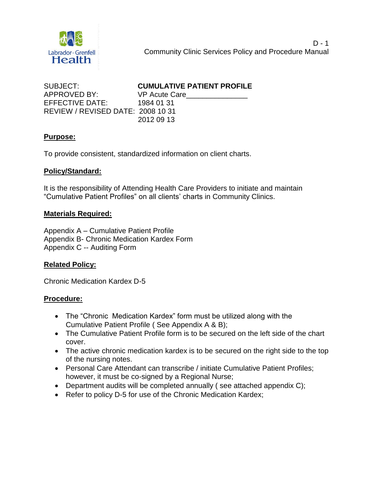

| SUBJECT:                                 | <b>CUMULATIVE PATIENT PROFILE</b> |
|------------------------------------------|-----------------------------------|
| APPROVED BY:                             | VP Acute Care                     |
| EFFECTIVE DATE:                          | 1984 01 31                        |
| <b>REVIEW / REVISED DATE: 2008 10 31</b> |                                   |
|                                          | 2012 09 13                        |

## **Purpose:**

To provide consistent, standardized information on client charts.

#### **Policy/Standard:**

It is the responsibility of Attending Health Care Providers to initiate and maintain "Cumulative Patient Profiles" on all clients' charts in Community Clinics.

#### **Materials Required:**

Appendix A – Cumulative Patient Profile Appendix B- Chronic Medication Kardex Form Appendix C -- Auditing Form

## **Related Policy:**

Chronic Medication Kardex D-5

## **Procedure:**

- The "Chronic Medication Kardex" form must be utilized along with the Cumulative Patient Profile ( See Appendix A & B);
- The Cumulative Patient Profile form is to be secured on the left side of the chart cover.
- The active chronic medication kardex is to be secured on the right side to the top of the nursing notes.
- Personal Care Attendant can transcribe / initiate Cumulative Patient Profiles; however, it must be co-signed by a Regional Nurse;
- Department audits will be completed annually ( see attached appendix C);
- Refer to policy D-5 for use of the Chronic Medication Kardex;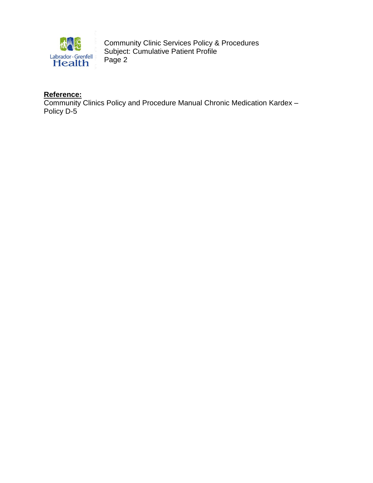

# **Reference:**

Community Clinics Policy and Procedure Manual Chronic Medication Kardex – Policy D-5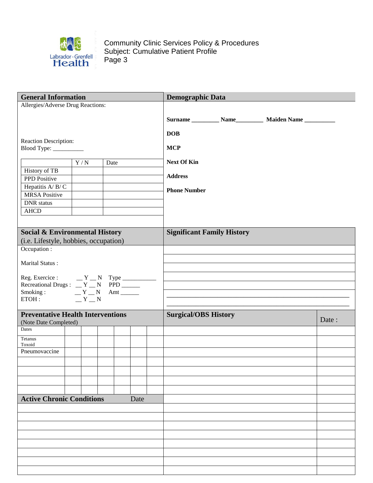

| <b>General Information</b>                       |     |  |      |  |      |  | <b>Demographic Data</b>                                            |       |  |  |  |  |  |  |
|--------------------------------------------------|-----|--|------|--|------|--|--------------------------------------------------------------------|-------|--|--|--|--|--|--|
| Allergies/Adverse Drug Reactions:                |     |  |      |  |      |  |                                                                    |       |  |  |  |  |  |  |
|                                                  |     |  |      |  |      |  |                                                                    |       |  |  |  |  |  |  |
|                                                  |     |  |      |  |      |  | Surname ____________ Name ______________ Maiden Name _____________ |       |  |  |  |  |  |  |
|                                                  |     |  |      |  |      |  | <b>DOB</b>                                                         |       |  |  |  |  |  |  |
| Reaction Description:<br>Blood Type: ___________ |     |  |      |  |      |  | <b>MCP</b>                                                         |       |  |  |  |  |  |  |
|                                                  |     |  |      |  |      |  |                                                                    |       |  |  |  |  |  |  |
|                                                  | Y/N |  | Date |  |      |  | <b>Next Of Kin</b>                                                 |       |  |  |  |  |  |  |
| History of TB                                    |     |  |      |  |      |  | <b>Address</b>                                                     |       |  |  |  |  |  |  |
| PPD Positive<br>Hepatitis A/B/C                  |     |  |      |  |      |  |                                                                    |       |  |  |  |  |  |  |
| <b>MRSA Positive</b>                             |     |  |      |  |      |  | <b>Phone Number</b>                                                |       |  |  |  |  |  |  |
| <b>DNR</b> status                                |     |  |      |  |      |  |                                                                    |       |  |  |  |  |  |  |
| <b>AHCD</b>                                      |     |  |      |  |      |  |                                                                    |       |  |  |  |  |  |  |
|                                                  |     |  |      |  |      |  |                                                                    |       |  |  |  |  |  |  |
| <b>Social &amp; Environmental History</b>        |     |  |      |  |      |  | <b>Significant Family History</b>                                  |       |  |  |  |  |  |  |
| (i.e. Lifestyle, hobbies, occupation)            |     |  |      |  |      |  |                                                                    |       |  |  |  |  |  |  |
| Occupation :                                     |     |  |      |  |      |  |                                                                    |       |  |  |  |  |  |  |
|                                                  |     |  |      |  |      |  |                                                                    |       |  |  |  |  |  |  |
| Marital Status:                                  |     |  |      |  |      |  |                                                                    |       |  |  |  |  |  |  |
|                                                  |     |  |      |  |      |  |                                                                    |       |  |  |  |  |  |  |
|                                                  |     |  |      |  |      |  |                                                                    |       |  |  |  |  |  |  |
| Smoking : $Y_N$ Amt<br>ETOH : $Y_N$ N            |     |  |      |  |      |  |                                                                    |       |  |  |  |  |  |  |
|                                                  |     |  |      |  |      |  |                                                                    |       |  |  |  |  |  |  |
| <b>Preventative Health Interventions</b>         |     |  |      |  |      |  | <b>Surgical/OBS History</b>                                        |       |  |  |  |  |  |  |
| (Note Date Completed)                            |     |  |      |  |      |  |                                                                    | Date: |  |  |  |  |  |  |
| Dates                                            |     |  |      |  |      |  |                                                                    |       |  |  |  |  |  |  |
| Tetanus<br>Toxoid                                |     |  |      |  |      |  |                                                                    |       |  |  |  |  |  |  |
| Pneumovaccine                                    |     |  |      |  |      |  |                                                                    |       |  |  |  |  |  |  |
|                                                  |     |  |      |  |      |  |                                                                    |       |  |  |  |  |  |  |
|                                                  |     |  |      |  |      |  |                                                                    |       |  |  |  |  |  |  |
|                                                  |     |  |      |  |      |  |                                                                    |       |  |  |  |  |  |  |
|                                                  |     |  |      |  |      |  |                                                                    |       |  |  |  |  |  |  |
| <b>Active Chronic Conditions</b>                 |     |  |      |  | Date |  |                                                                    |       |  |  |  |  |  |  |
|                                                  |     |  |      |  |      |  |                                                                    |       |  |  |  |  |  |  |
|                                                  |     |  |      |  |      |  |                                                                    |       |  |  |  |  |  |  |
|                                                  |     |  |      |  |      |  |                                                                    |       |  |  |  |  |  |  |
|                                                  |     |  |      |  |      |  |                                                                    |       |  |  |  |  |  |  |
|                                                  |     |  |      |  |      |  |                                                                    |       |  |  |  |  |  |  |
|                                                  |     |  |      |  |      |  |                                                                    |       |  |  |  |  |  |  |
|                                                  |     |  |      |  |      |  |                                                                    |       |  |  |  |  |  |  |
|                                                  |     |  |      |  |      |  |                                                                    |       |  |  |  |  |  |  |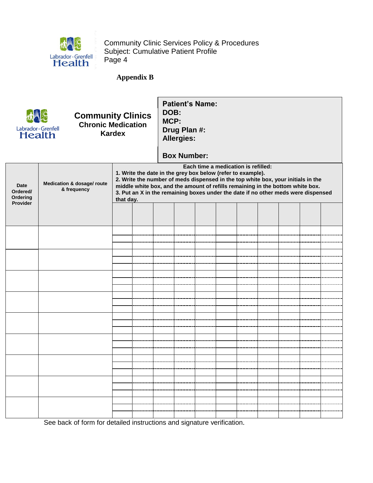

## **Appendix B**



# **Community Clinics Chronic Medication Kardex**

**Patient's Name: DOB: MCP: Drug Plan #: Allergies:**

# **Box Number:**

|                                                 |                                           |                                                                                                                                                                                                                                                                                                                                                                            |  |  | PAN INIIINAI |  |  |  |  |  |  |  |
|-------------------------------------------------|-------------------------------------------|----------------------------------------------------------------------------------------------------------------------------------------------------------------------------------------------------------------------------------------------------------------------------------------------------------------------------------------------------------------------------|--|--|--------------|--|--|--|--|--|--|--|
| <b>Date</b><br>Ordered/<br>Ordering<br>Provider | Medication & dosage/ route<br>& frequency | Each time a medication is refilled:<br>1. Write the date in the grey box below (refer to example).<br>2. Write the number of meds dispensed in the top white box, your initials in the<br>middle white box, and the amount of refills remaining in the bottom white box.<br>3. Put an X in the remaining boxes under the date if no other meds were dispensed<br>that day. |  |  |              |  |  |  |  |  |  |  |
|                                                 |                                           |                                                                                                                                                                                                                                                                                                                                                                            |  |  |              |  |  |  |  |  |  |  |
|                                                 |                                           |                                                                                                                                                                                                                                                                                                                                                                            |  |  |              |  |  |  |  |  |  |  |
|                                                 |                                           |                                                                                                                                                                                                                                                                                                                                                                            |  |  |              |  |  |  |  |  |  |  |
|                                                 |                                           |                                                                                                                                                                                                                                                                                                                                                                            |  |  |              |  |  |  |  |  |  |  |
|                                                 |                                           |                                                                                                                                                                                                                                                                                                                                                                            |  |  |              |  |  |  |  |  |  |  |
|                                                 |                                           |                                                                                                                                                                                                                                                                                                                                                                            |  |  |              |  |  |  |  |  |  |  |
|                                                 |                                           |                                                                                                                                                                                                                                                                                                                                                                            |  |  |              |  |  |  |  |  |  |  |
|                                                 |                                           |                                                                                                                                                                                                                                                                                                                                                                            |  |  |              |  |  |  |  |  |  |  |
|                                                 |                                           |                                                                                                                                                                                                                                                                                                                                                                            |  |  |              |  |  |  |  |  |  |  |
|                                                 |                                           |                                                                                                                                                                                                                                                                                                                                                                            |  |  |              |  |  |  |  |  |  |  |
|                                                 |                                           |                                                                                                                                                                                                                                                                                                                                                                            |  |  |              |  |  |  |  |  |  |  |

See back of form for detailed instructions and signature verification.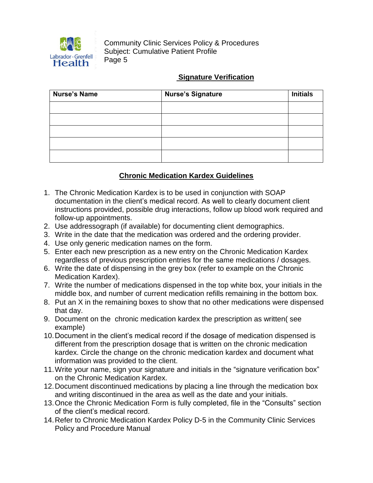

## **Signature Verification**

| <b>Nurse's Name</b> | <b>Nurse's Signature</b> | <b>Initials</b> |
|---------------------|--------------------------|-----------------|
|                     |                          |                 |
|                     |                          |                 |
|                     |                          |                 |
|                     |                          |                 |
|                     |                          |                 |

# **Chronic Medication Kardex Guidelines**

- 1. The Chronic Medication Kardex is to be used in conjunction with SOAP documentation in the client's medical record. As well to clearly document client instructions provided, possible drug interactions, follow up blood work required and follow-up appointments.
- 2. Use addressograph (if available) for documenting client demographics.
- 3. Write in the date that the medication was ordered and the ordering provider.
- 4. Use only generic medication names on the form.
- 5. Enter each new prescription as a new entry on the Chronic Medication Kardex regardless of previous prescription entries for the same medications / dosages.
- 6. Write the date of dispensing in the grey box (refer to example on the Chronic Medication Kardex).
- 7. Write the number of medications dispensed in the top white box, your initials in the middle box, and number of current medication refills remaining in the bottom box.
- 8. Put an X in the remaining boxes to show that no other medications were dispensed that day.
- 9. Document on the chronic medication kardex the prescription as written( see example)
- 10.Document in the client's medical record if the dosage of medication dispensed is different from the prescription dosage that is written on the chronic medication kardex. Circle the change on the chronic medication kardex and document what information was provided to the client.
- 11.Write your name, sign your signature and initials in the "signature verification box" on the Chronic Medication Kardex.
- 12.Document discontinued medications by placing a line through the medication box and writing discontinued in the area as well as the date and your initials.
- 13.Once the Chronic Medication Form is fully completed, file in the "Consults" section of the client's medical record.
- 14.Refer to Chronic Medication Kardex Policy D-5 in the Community Clinic Services Policy and Procedure Manual